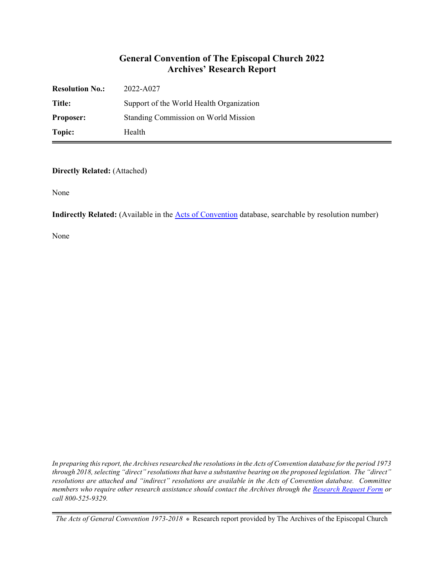### **General Convention of The Episcopal Church 2022 Archives' Research Report**

| <b>Resolution No.:</b> | 2022-A027                                |
|------------------------|------------------------------------------|
| Title:                 | Support of the World Health Organization |
| <b>Proposer:</b>       | Standing Commission on World Mission     |
| Topic:                 | Health                                   |

**Directly Related:** (Attached)

None

**Indirectly Related:** (Available in the **Acts of Convention** database, searchable by resolution number)

None

*In preparing this report, the Archives researched the resolutions in the Acts of Convention database for the period 1973 through 2018, selecting "direct" resolutions that have a substantive bearing on the proposed legislation. The "direct" resolutions are attached and "indirect" resolutions are available in the Acts of Convention database. Committee members who require other research assistance should contact the Archives through the Research [Request Form](https://www.episcopalarchives.org/contact/research-request-form) or call 800-525-9329.*

*The Acts of General Convention 1973-2018*  $*$  Research report provided by The Archives of the Episcopal Church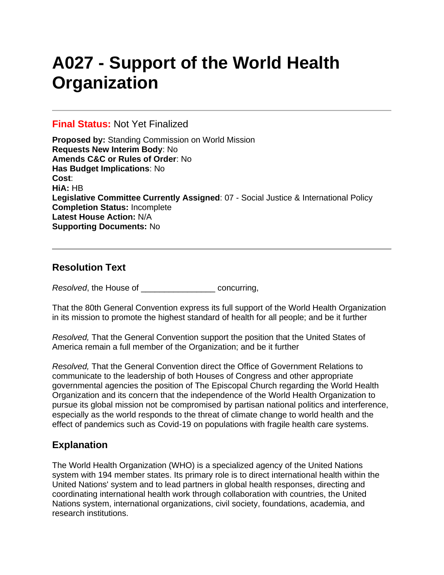# **A027 - Support of the World Health Organization**

#### **Final Status:** Not Yet Finalized

**Proposed by:** Standing Commission on World Mission **Requests New Interim Body**: No **Amends C&C or Rules of Order**: No **Has Budget Implications**: No **Cost**: **HiA:** HB **Legislative Committee Currently Assigned**: 07 - Social Justice & International Policy **Completion Status:** Incomplete **Latest House Action:** N/A **Supporting Documents:** No

## **Resolution Text**

*Resolved*, the House of \_\_\_\_\_\_\_\_\_\_\_\_\_\_\_\_ concurring,

That the 80th General Convention express its full support of the World Health Organization in its mission to promote the highest standard of health for all people; and be it further

*Resolved,* That the General Convention support the position that the United States of America remain a full member of the Organization; and be it further

*Resolved,* That the General Convention direct the Office of Government Relations to communicate to the leadership of both Houses of Congress and other appropriate governmental agencies the position of The Episcopal Church regarding the World Health Organization and its concern that the independence of the World Health Organization to pursue its global mission not be compromised by partisan national politics and interference, especially as the world responds to the threat of climate change to world health and the effect of pandemics such as Covid-19 on populations with fragile health care systems.

## **Explanation**

The World Health Organization (WHO) is a specialized agency of the United Nations system with 194 member states. Its primary role is to direct international health within the United Nations' system and to lead partners in global health responses, directing and coordinating international health work through collaboration with countries, the United Nations system, international organizations, civil society, foundations, academia, and research institutions.